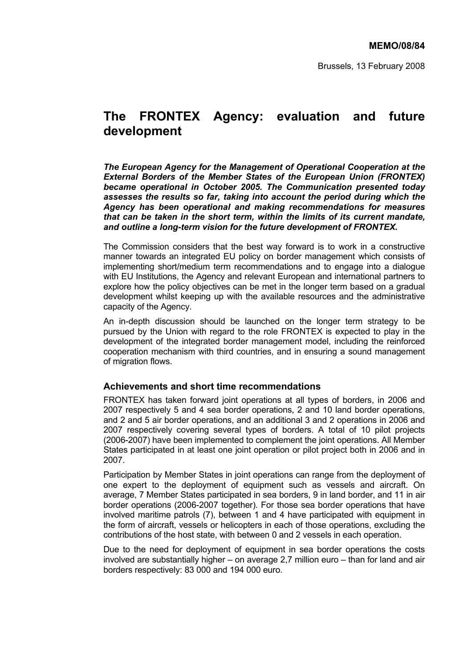Brussels, 13 February 2008

# **The FRONTEX Agency: evaluation and future development**

*The European Agency for the Management of Operational Cooperation at the External Borders of the Member States of the European Union (FRONTEX) became operational in October 2005. The Communication presented today assesses the results so far, taking into account the period during which the Agency has been operational and making recommendations for measures that can be taken in the short term, within the limits of its current mandate, and outline a long-term vision for the future development of FRONTEX.* 

The Commission considers that the best way forward is to work in a constructive manner towards an integrated EU policy on border management which consists of implementing short/medium term recommendations and to engage into a dialogue with EU Institutions, the Agency and relevant European and international partners to explore how the policy objectives can be met in the longer term based on a gradual development whilst keeping up with the available resources and the administrative capacity of the Agency.

An in-depth discussion should be launched on the longer term strategy to be pursued by the Union with regard to the role FRONTEX is expected to play in the development of the integrated border management model, including the reinforced cooperation mechanism with third countries, and in ensuring a sound management of migration flows.

# **Achievements and short time recommendations**

FRONTEX has taken forward joint operations at all types of borders, in 2006 and 2007 respectively 5 and 4 sea border operations, 2 and 10 land border operations, and 2 and 5 air border operations, and an additional 3 and 2 operations in 2006 and 2007 respectively covering several types of borders. A total of 10 pilot projects (2006-2007) have been implemented to complement the joint operations. All Member States participated in at least one joint operation or pilot project both in 2006 and in 2007.

Participation by Member States in joint operations can range from the deployment of one expert to the deployment of equipment such as vessels and aircraft. On average, 7 Member States participated in sea borders, 9 in land border, and 11 in air border operations (2006-2007 together). For those sea border operations that have involved maritime patrols (7), between 1 and 4 have participated with equipment in the form of aircraft, vessels or helicopters in each of those operations, excluding the contributions of the host state, with between 0 and 2 vessels in each operation.

Due to the need for deployment of equipment in sea border operations the costs involved are substantially higher – on average 2,7 million euro – than for land and air borders respectively: 83 000 and 194 000 euro.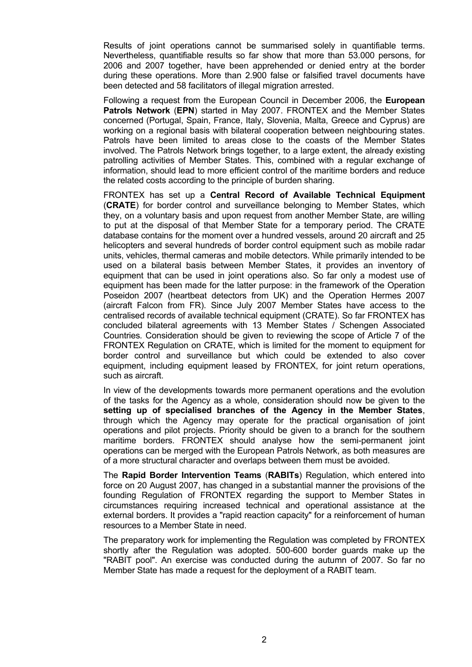Results of joint operations cannot be summarised solely in quantifiable terms. Nevertheless, quantifiable results so far show that more than 53.000 persons, for 2006 and 2007 together, have been apprehended or denied entry at the border during these operations. More than 2.900 false or falsified travel documents have been detected and 58 facilitators of illegal migration arrested.

Following a request from the European Council in December 2006, the **European Patrols Network** (**EPN**) started in May 2007. FRONTEX and the Member States concerned (Portugal, Spain, France, Italy, Slovenia, Malta, Greece and Cyprus) are working on a regional basis with bilateral cooperation between neighbouring states. Patrols have been limited to areas close to the coasts of the Member States involved. The Patrols Network brings together, to a large extent, the already existing patrolling activities of Member States. This, combined with a regular exchange of information, should lead to more efficient control of the maritime borders and reduce the related costs according to the principle of burden sharing.

FRONTEX has set up a **Central Record of Available Technical Equipment** (**CRATE**) for border control and surveillance belonging to Member States, which they, on a voluntary basis and upon request from another Member State, are willing to put at the disposal of that Member State for a temporary period. The CRATE database contains for the moment over a hundred vessels, around 20 aircraft and 25 helicopters and several hundreds of border control equipment such as mobile radar units, vehicles, thermal cameras and mobile detectors. While primarily intended to be used on a bilateral basis between Member States, it provides an inventory of equipment that can be used in joint operations also. So far only a modest use of equipment has been made for the latter purpose: in the framework of the Operation Poseidon 2007 (heartbeat detectors from UK) and the Operation Hermes 2007 (aircraft Falcon from FR). Since July 2007 Member States have access to the centralised records of available technical equipment (CRATE). So far FRONTEX has concluded bilateral agreements with 13 Member States / Schengen Associated Countries*.* Consideration should be given to reviewing the scope of Article 7 of the FRONTEX Regulation on CRATE, which is limited for the moment to equipment for border control and surveillance but which could be extended to also cover equipment, including equipment leased by FRONTEX, for joint return operations, such as aircraft.

In view of the developments towards more permanent operations and the evolution of the tasks for the Agency as a whole, consideration should now be given to the **setting up of specialised branches of the Agency in the Member States**, through which the Agency may operate for the practical organisation of joint operations and pilot projects. Priority should be given to a branch for the southern maritime borders. FRONTEX should analyse how the semi-permanent joint operations can be merged with the European Patrols Network, as both measures are of a more structural character and overlaps between them must be avoided.

The **Rapid Border Intervention Teams** (**RABITs**) Regulation, which entered into force on 20 August 2007, has changed in a substantial manner the provisions of the founding Regulation of FRONTEX regarding the support to Member States in circumstances requiring increased technical and operational assistance at the external borders. It provides a "rapid reaction capacity" for a reinforcement of human resources to a Member State in need.

The preparatory work for implementing the Regulation was completed by FRONTEX shortly after the Regulation was adopted. 500-600 border guards make up the "RABIT pool". An exercise was conducted during the autumn of 2007. So far no Member State has made a request for the deployment of a RABIT team.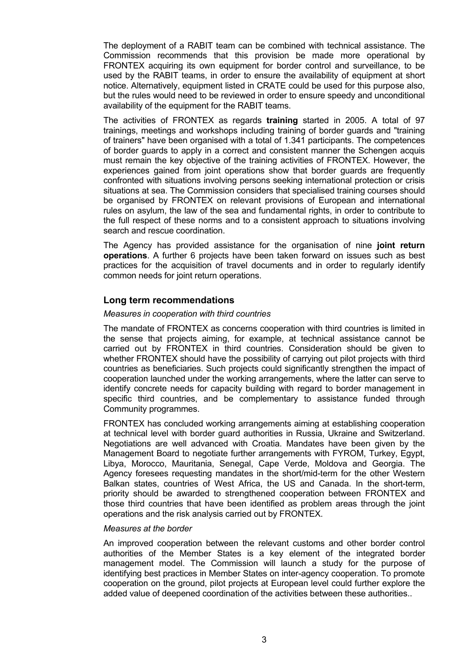The deployment of a RABIT team can be combined with technical assistance. The Commission recommends that this provision be made more operational by FRONTEX acquiring its own equipment for border control and surveillance, to be used by the RABIT teams, in order to ensure the availability of equipment at short notice. Alternatively, equipment listed in CRATE could be used for this purpose also, but the rules would need to be reviewed in order to ensure speedy and unconditional availability of the equipment for the RABIT teams.

The activities of FRONTEX as regards **training** started in 2005. A total of 97 trainings, meetings and workshops including training of border guards and "training of trainers" have been organised with a total of 1.341 participants. The competences of border guards to apply in a correct and consistent manner the Schengen acquis must remain the key objective of the training activities of FRONTEX. However, the experiences gained from joint operations show that border guards are frequently confronted with situations involving persons seeking international protection or crisis situations at sea. The Commission considers that specialised training courses should be organised by FRONTEX on relevant provisions of European and international rules on asylum, the law of the sea and fundamental rights, in order to contribute to the full respect of these norms and to a consistent approach to situations involving search and rescue coordination.

The Agency has provided assistance for the organisation of nine **joint return operations**. A further 6 projects have been taken forward on issues such as best practices for the acquisition of travel documents and in order to regularly identify common needs for joint return operations.

# **Long term recommendations**

## *Measures in cooperation with third countries*

The mandate of FRONTEX as concerns cooperation with third countries is limited in the sense that projects aiming, for example, at technical assistance cannot be carried out by FRONTEX in third countries. Consideration should be given to whether FRONTEX should have the possibility of carrying out pilot projects with third countries as beneficiaries. Such projects could significantly strengthen the impact of cooperation launched under the working arrangements, where the latter can serve to identify concrete needs for capacity building with regard to border management in specific third countries, and be complementary to assistance funded through Community programmes.

FRONTEX has concluded working arrangements aiming at establishing cooperation at technical level with border guard authorities in Russia, Ukraine and Switzerland. Negotiations are well advanced with Croatia. Mandates have been given by the Management Board to negotiate further arrangements with FYROM, Turkey, Egypt, Libya, Morocco, Mauritania, Senegal, Cape Verde, Moldova and Georgia. The Agency foresees requesting mandates in the short/mid-term for the other Western Balkan states, countries of West Africa, the US and Canada. In the short-term, priority should be awarded to strengthened cooperation between FRONTEX and those third countries that have been identified as problem areas through the joint operations and the risk analysis carried out by FRONTEX.

#### *Measures at the border*

An improved cooperation between the relevant customs and other border control authorities of the Member States is a key element of the integrated border management model. The Commission will launch a study for the purpose of identifying best practices in Member States on inter-agency cooperation. To promote cooperation on the ground, pilot projects at European level could further explore the added value of deepened coordination of the activities between these authorities..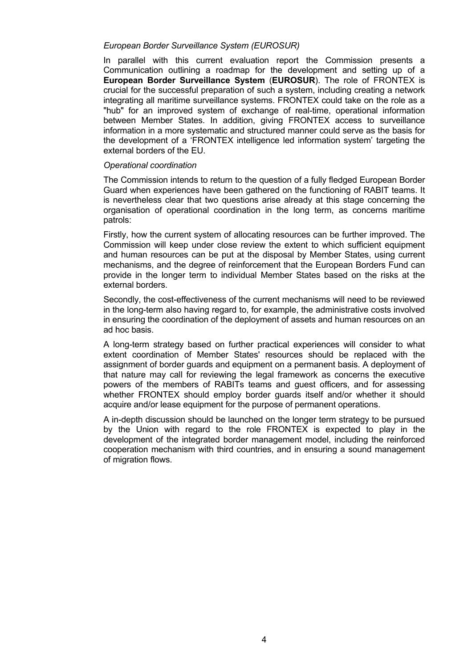## *European Border Surveillance System (EUROSUR)*

In parallel with this current evaluation report the Commission presents a Communication outlining a roadmap for the development and setting up of a **European Border Surveillance System** (**EUROSUR**). The role of FRONTEX is crucial for the successful preparation of such a system, including creating a network integrating all maritime surveillance systems. FRONTEX could take on the role as a "hub" for an improved system of exchange of real-time, operational information between Member States. In addition, giving FRONTEX access to surveillance information in a more systematic and structured manner could serve as the basis for the development of a 'FRONTEX intelligence led information system' targeting the external borders of the EU.

#### *Operational coordination*

The Commission intends to return to the question of a fully fledged European Border Guard when experiences have been gathered on the functioning of RABIT teams. It is nevertheless clear that two questions arise already at this stage concerning the organisation of operational coordination in the long term, as concerns maritime patrols:

Firstly, how the current system of allocating resources can be further improved. The Commission will keep under close review the extent to which sufficient equipment and human resources can be put at the disposal by Member States, using current mechanisms, and the degree of reinforcement that the European Borders Fund can provide in the longer term to individual Member States based on the risks at the external borders.

Secondly, the cost-effectiveness of the current mechanisms will need to be reviewed in the long-term also having regard to, for example, the administrative costs involved in ensuring the coordination of the deployment of assets and human resources on an ad hoc basis.

A long-term strategy based on further practical experiences will consider to what extent coordination of Member States' resources should be replaced with the assignment of border guards and equipment on a permanent basis. A deployment of that nature may call for reviewing the legal framework as concerns the executive powers of the members of RABITs teams and guest officers, and for assessing whether FRONTEX should employ border guards itself and/or whether it should acquire and/or lease equipment for the purpose of permanent operations.

A in-depth discussion should be launched on the longer term strategy to be pursued by the Union with regard to the role FRONTEX is expected to play in the development of the integrated border management model, including the reinforced cooperation mechanism with third countries, and in ensuring a sound management of migration flows.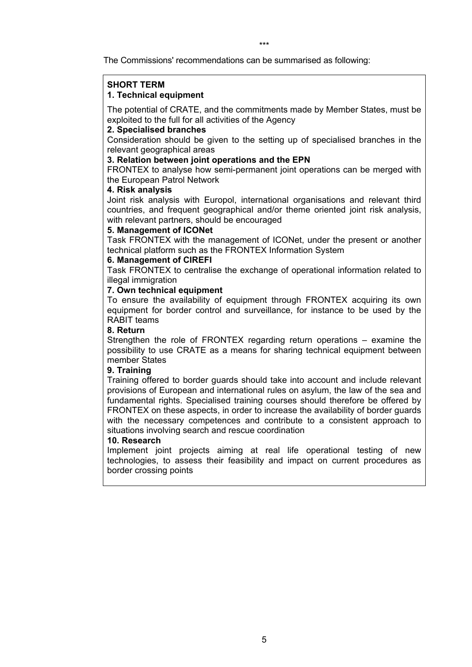The Commissions' recommendations can be summarised as following:

#### **SHORT TERM 1. Technical equipment**

The potential of CRATE, and the commitments made by Member States, must be exploited to the full for all activities of the Agency

## **2. Specialised branches**

Consideration should be given to the setting up of specialised branches in the relevant geographical areas

## **3. Relation between joint operations and the EPN**

FRONTEX to analyse how semi-permanent joint operations can be merged with the European Patrol Network

## **4. Risk analysis**

Joint risk analysis with Europol, international organisations and relevant third countries, and frequent geographical and/or theme oriented joint risk analysis, with relevant partners, should be encouraged

## **5. Management of ICONet**

Task FRONTEX with the management of ICONet, under the present or another technical platform such as the FRONTEX Information System

## **6. Management of CIREFI**

Task FRONTEX to centralise the exchange of operational information related to illegal immigration

## **7. Own technical equipment**

To ensure the availability of equipment through FRONTEX acquiring its own equipment for border control and surveillance, for instance to be used by the RABIT teams

## **8. Return**

Strengthen the role of FRONTEX regarding return operations – examine the possibility to use CRATE as a means for sharing technical equipment between member States

# **9. Training**

Training offered to border guards should take into account and include relevant provisions of European and international rules on asylum, the law of the sea and fundamental rights. Specialised training courses should therefore be offered by FRONTEX on these aspects, in order to increase the availability of border guards with the necessary competences and contribute to a consistent approach to situations involving search and rescue coordination

#### **10. Research**

Implement joint projects aiming at real life operational testing of new technologies, to assess their feasibility and impact on current procedures as border crossing points